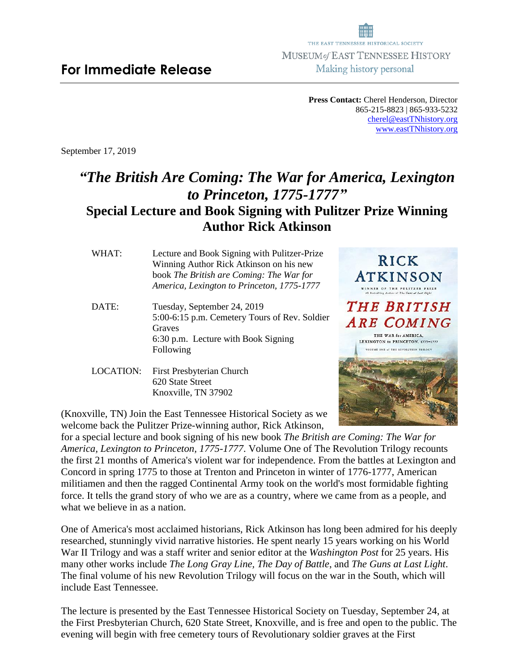**Press Contact:** Cherel Henderson, Director 865-215-8823 | 865-933-5232 [cherel@eastTNhistory.org](mailto:cherel@eastTNhistory.org) [www.eastTNhistory.org](http://www.easttnhistory.org/)

September 17, 2019

## *"The British Are Coming: The War for America, Lexington to Princeton, 1775-1777"* **Special Lecture and Book Signing with Pulitzer Prize Winning Author Rick Atkinson**

WHAT: Lecture and Book Signing with Pulitzer-Prize Winning Author Rick Atkinson on his new book *The British are Coming: The War for America, Lexington to Princeton, 1775-1777*

- DATE: Tuesday, September 24, 2019 5:00-6:15 p.m. Cemetery Tours of Rev. Soldier Graves 6:30 p.m. Lecture with Book Signing Following
- LOCATION: First Presbyterian Church 620 State Street Knoxville, TN 37902

(Knoxville, TN) Join the East Tennessee Historical Society as we welcome back the Pulitzer Prize-winning author, Rick Atkinson,



for a special lecture and book signing of his new book *The British are Coming: The War for America, Lexington to Princeton, 1775-1777*. Volume One of The Revolution Trilogy recounts the first 21 months of America's violent war for independence. From the battles at Lexington and Concord in spring 1775 to those at Trenton and Princeton in winter of 1776-1777, American militiamen and then the ragged Continental Army took on the world's most formidable fighting force. It tells the grand story of who we are as a country, where we came from as a people, and what we believe in as a nation.

One of America's most acclaimed historians, Rick Atkinson has long been admired for his deeply researched, stunningly vivid narrative histories. He spent nearly 15 years working on his World War II Trilogy and was a staff writer and senior editor at the *Washington Post* for 25 years. His many other works include *The Long Gray Line, The Day of Battle*, and *The Guns at Last Light*. The final volume of his new Revolution Trilogy will focus on the war in the South, which will include East Tennessee.

The lecture is presented by the East Tennessee Historical Society on Tuesday, September 24, at the First Presbyterian Church, 620 State Street, Knoxville, and is free and open to the public. The evening will begin with free cemetery tours of Revolutionary soldier graves at the First